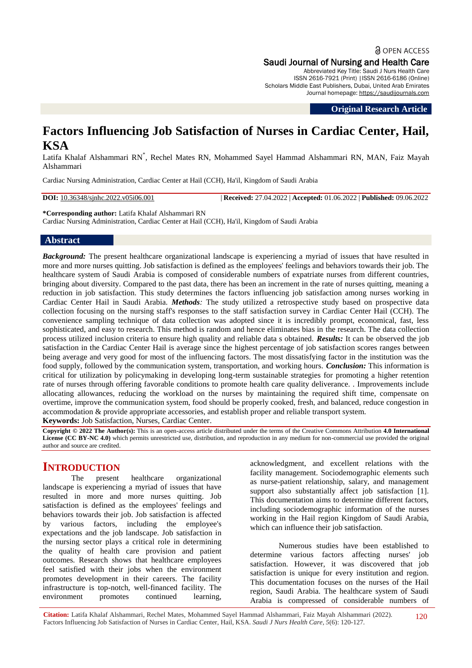**a** OPEN ACCESS Saudi Journal of Nursing and Health Care Abbreviated Key Title: Saudi J Nurs Health Care

ISSN 2616-7921 (Print) |ISSN 2616-6186 (Online) Scholars Middle East Publishers, Dubai, United Arab Emirates Journal homepage: [https://saudijournals.com](https://saudijournals.com/sjnhc)

**Original Research Article**

# **Factors Influencing Job Satisfaction of Nurses in Cardiac Center, Hail, KSA**

Latifa Khalaf Alshammari RN\* , Rechel Mates RN, Mohammed Sayel Hammad Alshammari RN, MAN, Faiz Mayah Alshammari

Cardiac Nursing Administration, Cardiac Center at Hail (CCH), Ha'il, Kingdom of Saudi Arabia

**DOI:** 10.36348/sjnhc.2022.v05i06.001 | **Received:** 27.04.2022 | **Accepted:** 01.06.2022 | **Published:** 09.06.2022

**\*Corresponding author:** Latifa Khalaf Alshammari RN Cardiac Nursing Administration, Cardiac Center at Hail (CCH), Ha'il, Kingdom of Saudi Arabia

#### **Abstract**

*Background:* The present healthcare organizational landscape is experiencing a myriad of issues that have resulted in more and more nurses quitting. Job satisfaction is defined as the employees' feelings and behaviors towards their job. The healthcare system of Saudi Arabia is composed of considerable numbers of expatriate nurses from different countries, bringing about diversity. Compared to the past data, there has been an increment in the rate of nurses quitting, meaning a reduction in job satisfaction. This study determines the factors influencing job satisfaction among nurses working in Cardiac Center Hail in Saudi Arabia. *Methods:* The study utilized a retrospective study based on prospective data collection focusing on the nursing staff's responses to the staff satisfaction survey in Cardiac Center Hail (CCH). The convenience sampling technique of data collection was adopted since it is incredibly prompt, economical, fast, less sophisticated, and easy to research. This method is random and hence eliminates bias in the research. The data collection process utilized inclusion criteria to ensure high quality and reliable data s obtained. *Results:* It can be observed the job satisfaction in the Cardiac Center Hail is average since the highest percentage of job satisfaction scores ranges between being average and very good for most of the influencing factors. The most dissatisfying factor in the institution was the food supply, followed by the communication system, transportation, and working hours. *Conclusion:* This information is critical for utilization by policymaking in developing long-term sustainable strategies for promoting a higher retention rate of nurses through offering favorable conditions to promote health care quality deliverance. . Improvements include allocating allowances, reducing the workload on the nurses by maintaining the required shift time, compensate on overtime, improve the communication system, food should be properly cooked, fresh, and balanced, reduce congestion in accommodation & provide appropriate accessories, and establish proper and reliable transport system.

**Keywords:** Job Satisfaction, Nurses, Cardiac Center.

**Copyright © 2022 The Author(s):** This is an open-access article distributed under the terms of the Creative Commons Attribution **4.0 International License (CC BY-NC 4.0)** which permits unrestricted use, distribution, and reproduction in any medium for non-commercial use provided the original author and source are credited.

## **INTRODUCTION**

The present healthcare organizational landscape is experiencing a myriad of issues that have resulted in more and more nurses quitting. Job satisfaction is defined as the employees' feelings and behaviors towards their job. Job satisfaction is affected by various factors, including the employee's expectations and the job landscape. Job satisfaction in the nursing sector plays a critical role in determining the quality of health care provision and patient outcomes. Research shows that healthcare employees feel satisfied with their jobs when the environment promotes development in their careers. The facility infrastructure is top-notch, well-financed facility. The environment promotes continued learning.

acknowledgment, and excellent relations with the facility management. Sociodemographic elements such as nurse-patient relationship, salary, and management support also substantially affect job satisfaction [1]. This documentation aims to determine different factors, including sociodemographic information of the nurses working in the Hail region Kingdom of Saudi Arabia, which can influence their job satisfaction.

Numerous studies have been established to determine various factors affecting nurses' job satisfaction. However, it was discovered that job satisfaction is unique for every institution and region. This documentation focuses on the nurses of the Hail region, Saudi Arabia. The healthcare system of Saudi Arabia is compressed of considerable numbers of

**Citation:** Latifa Khalaf Alshammari, Rechel Mates, Mohammed Sayel Hammad Alshammari, Faiz Mayah Alshammari (2022). Factors Influencing Job Satisfaction of Nurses in Cardiac Center, Hail, KSA. *Saudi J Nurs Health Care, 5*(6): 120-127. 120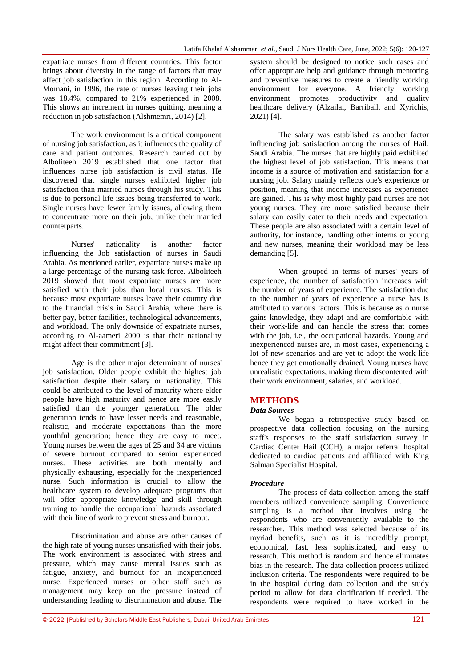expatriate nurses from different countries. This factor brings about diversity in the range of factors that may affect job satisfaction in this region. According to Al-Momani, in 1996, the rate of nurses leaving their jobs was 18.4%, compared to 21% experienced in 2008. This shows an increment in nurses quitting, meaning a reduction in job satisfaction (Alshmemri, 2014) [2].

The work environment is a critical component of nursing job satisfaction, as it influences the quality of care and patient outcomes. Research carried out by Alboliteeh 2019 established that one factor that influences nurse job satisfaction is civil status. He discovered that single nurses exhibited higher job satisfaction than married nurses through his study. This is due to personal life issues being transferred to work. Single nurses have fewer family issues, allowing them to concentrate more on their job, unlike their married counterparts.

Nurses' nationality is another factor influencing the Job satisfaction of nurses in Saudi Arabia. As mentioned earlier, expatriate nurses make up a large percentage of the nursing task force. Alboliteeh 2019 showed that most expatriate nurses are more satisfied with their jobs than local nurses. This is because most expatriate nurses leave their country due to the financial crisis in Saudi Arabia, where there is better pay, better facilities, technological advancements, and workload. The only downside of expatriate nurses, according to Al-aameri 2000 is that their nationality might affect their commitment [3].

Age is the other major determinant of nurses' job satisfaction. Older people exhibit the highest job satisfaction despite their salary or nationality. This could be attributed to the level of maturity where elder people have high maturity and hence are more easily satisfied than the younger generation. The older generation tends to have lesser needs and reasonable, realistic, and moderate expectations than the more youthful generation; hence they are easy to meet. Young nurses between the ages of 25 and 34 are victims of severe burnout compared to senior experienced nurses. These activities are both mentally and physically exhausting, especially for the inexperienced nurse. Such information is crucial to allow the healthcare system to develop adequate programs that will offer appropriate knowledge and skill through training to handle the occupational hazards associated with their line of work to prevent stress and burnout.

Discrimination and abuse are other causes of the high rate of young nurses unsatisfied with their jobs. The work environment is associated with stress and pressure, which may cause mental issues such as fatigue, anxiety, and burnout for an inexperienced nurse. Experienced nurses or other staff such as management may keep on the pressure instead of understanding leading to discrimination and abuse. The

system should be designed to notice such cases and offer appropriate help and guidance through mentoring and preventive measures to create a friendly working environment for everyone. A friendly working environment promotes productivity and quality healthcare delivery (Alzailai, Barriball, and Xyrichis, 2021) [4].

The salary was established as another factor influencing job satisfaction among the nurses of Hail, Saudi Arabia. The nurses that are highly paid exhibited the highest level of job satisfaction. This means that income is a source of motivation and satisfaction for a nursing job. Salary mainly reflects one's experience or position, meaning that income increases as experience are gained. This is why most highly paid nurses are not young nurses. They are more satisfied because their salary can easily cater to their needs and expectation. These people are also associated with a certain level of authority, for instance, handling other interns or young and new nurses, meaning their workload may be less demanding [5].

When grouped in terms of nurses' years of experience, the number of satisfaction increases with the number of years of experience. The satisfaction due to the number of years of experience a nurse has is attributed to various factors. This is because as o nurse gains knowledge, they adapt and are comfortable with their work-life and can handle the stress that comes with the job, i.e., the occupational hazards. Young and inexperienced nurses are, in most cases, experiencing a lot of new scenarios and are yet to adopt the work-life hence they get emotionally drained. Young nurses have unrealistic expectations, making them discontented with their work environment, salaries, and workload.

## **METHODS**

#### *Data Sources*

We began a retrospective study based on prospective data collection focusing on the nursing staff's responses to the staff satisfaction survey in Cardiac Center Hail (CCH), a major referral hospital dedicated to cardiac patients and affiliated with King Salman Specialist Hospital.

#### *Procedure*

The process of data collection among the staff members utilized convenience sampling. Convenience sampling is a method that involves using the respondents who are conveniently available to the researcher. This method was selected because of its myriad benefits, such as it is incredibly prompt, economical, fast, less sophisticated, and easy to research. This method is random and hence eliminates bias in the research. The data collection process utilized inclusion criteria. The respondents were required to be in the hospital during data collection and the study period to allow for data clarification if needed. The respondents were required to have worked in the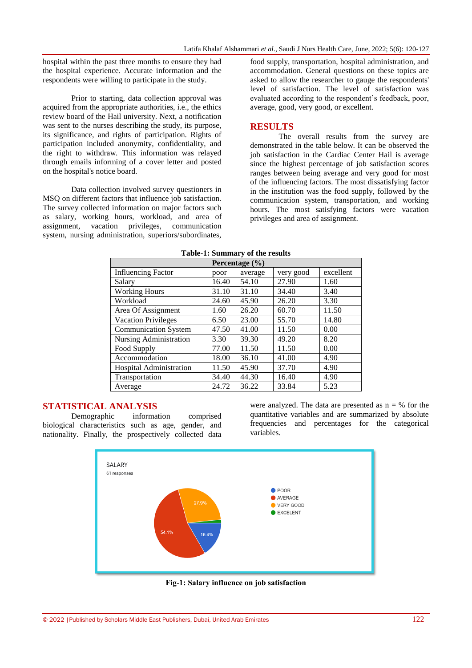hospital within the past three months to ensure they had the hospital experience. Accurate information and the respondents were willing to participate in the study.

Prior to starting, data collection approval was acquired from the appropriate authorities, i.e., the ethics review board of the Hail university. Next, a notification was sent to the nurses describing the study, its purpose, its significance, and rights of participation. Rights of participation included anonymity, confidentiality, and the right to withdraw. This information was relayed through emails informing of a cover letter and posted on the hospital's notice board.

Data collection involved survey questioners in MSQ on different factors that influence job satisfaction. The survey collected information on major factors such as salary, working hours, workload, and area of assignment, vacation privileges, communication system, nursing administration, superiors/subordinates,

food supply, transportation, hospital administration, and accommodation. General questions on these topics are asked to allow the researcher to gauge the respondents' level of satisfaction. The level of satisfaction was evaluated according to the respondent's feedback, poor, average, good, very good, or excellent.

## **RESULTS**

The overall results from the survey are demonstrated in the table below. It can be observed the job satisfaction in the Cardiac Center Hail is average since the highest percentage of job satisfaction scores ranges between being average and very good for most of the influencing factors. The most dissatisfying factor in the institution was the food supply, followed by the communication system, transportation, and working hours. The most satisfying factors were vacation privileges and area of assignment.

| Table-1. Summary of the results |                    |         |           |           |
|---------------------------------|--------------------|---------|-----------|-----------|
|                                 | Percentage $(\% )$ |         |           |           |
| <b>Influencing Factor</b>       | poor               | average | very good | excellent |
| Salary                          | 16.40              | 54.10   | 27.90     | 1.60      |
| <b>Working Hours</b>            | 31.10              | 31.10   | 34.40     | 3.40      |
| Workload                        | 24.60              | 45.90   | 26.20     | 3.30      |
| Area Of Assignment              | 1.60               | 26.20   | 60.70     | 11.50     |
| <b>Vacation Privileges</b>      | 6.50               | 23.00   | 55.70     | 14.80     |
| Communication System            | 47.50              | 41.00   | 11.50     | 0.00      |
| Nursing Administration          | 3.30               | 39.30   | 49.20     | 8.20      |
| Food Supply                     | 77.00              | 11.50   | 11.50     | 0.00      |
| Accommodation                   | 18.00              | 36.10   | 41.00     | 4.90      |
| Hospital Administration         | 11.50              | 45.90   | 37.70     | 4.90      |
| Transportation                  | 34.40              | 44.30   | 16.40     | 4.90      |
| Average                         | 24.72              | 36.22   | 33.84     | 5.23      |

#### **Table-1: Summary of the results**

#### **STATISTICAL ANALYSIS**

Demographic information comprised biological characteristics such as age, gender, and nationality. Finally, the prospectively collected data





**Fig-1: Salary influence on job satisfaction**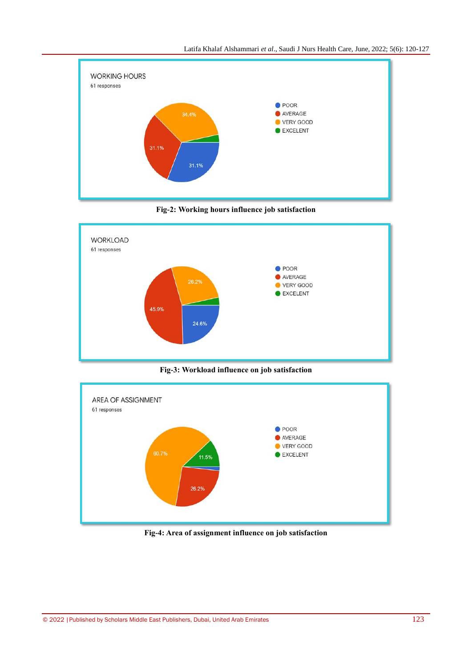





**Fig-3: Workload influence on job satisfaction**



**Fig-4: Area of assignment influence on job satisfaction**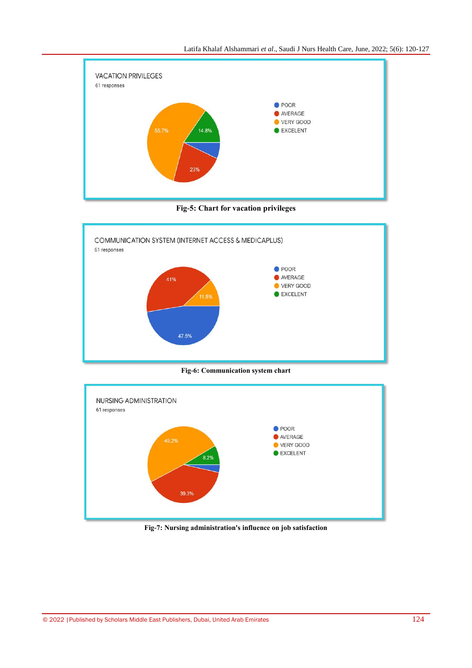

**Fig-5: Chart for vacation privileges**



**Fig-6: Communication system chart**



**Fig-7: Nursing administration's influence on job satisfaction**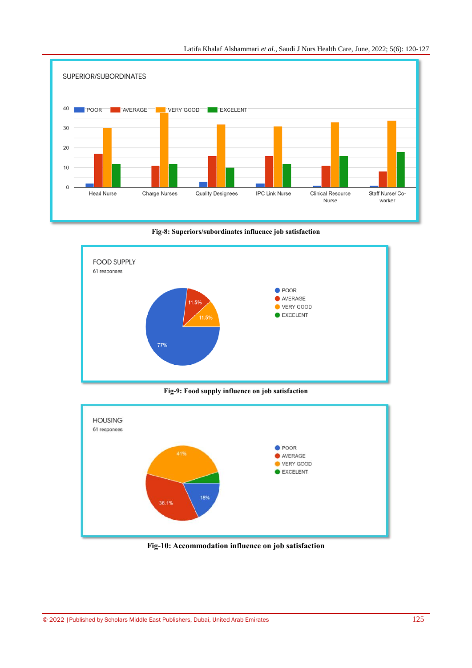

Latifa Khalaf Alshammari *et al*., Saudi J Nurs Health Care, June, 2022; 5(6): 120-127

**Fig-8: Superiors/subordinates influence job satisfaction**



**Fig-9: Food supply influence on job satisfaction**



**Fig-10: Accommodation influence on job satisfaction**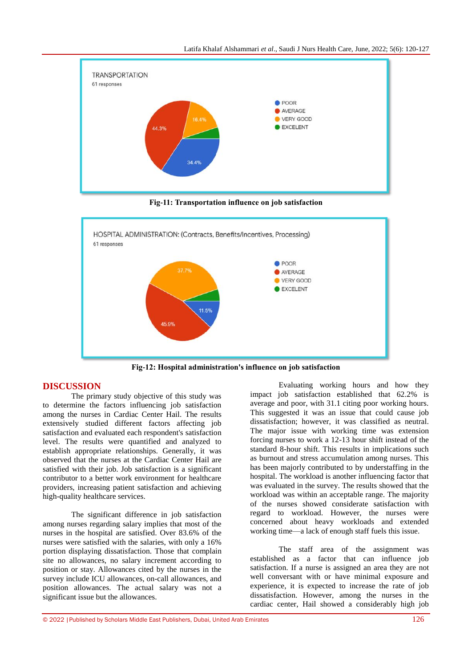

**Fig-11: Transportation influence on job satisfaction**



**Fig-12: Hospital administration's influence on job satisfaction**

## **DISCUSSION**

The primary study objective of this study was to determine the factors influencing job satisfaction among the nurses in Cardiac Center Hail. The results extensively studied different factors affecting job satisfaction and evaluated each respondent's satisfaction level. The results were quantified and analyzed to establish appropriate relationships. Generally, it was observed that the nurses at the Cardiac Center Hail are satisfied with their job. Job satisfaction is a significant contributor to a better work environment for healthcare providers, increasing patient satisfaction and achieving high-quality healthcare services.

The significant difference in job satisfaction among nurses regarding salary implies that most of the nurses in the hospital are satisfied. Over 83.6% of the nurses were satisfied with the salaries, with only a 16% portion displaying dissatisfaction. Those that complain site no allowances, no salary increment according to position or stay. Allowances cited by the nurses in the survey include ICU allowances, on-call allowances, and position allowances. The actual salary was not a significant issue but the allowances.

Evaluating working hours and how they impact job satisfaction established that 62.2% is average and poor, with 31.1 citing poor working hours. This suggested it was an issue that could cause job dissatisfaction; however, it was classified as neutral. The major issue with working time was extension forcing nurses to work a 12-13 hour shift instead of the standard 8-hour shift. This results in implications such as burnout and stress accumulation among nurses. This has been majorly contributed to by understaffing in the hospital. The workload is another influencing factor that was evaluated in the survey. The results showed that the workload was within an acceptable range. The majority of the nurses showed considerate satisfaction with regard to workload. However, the nurses were concerned about heavy workloads and extended working time—a lack of enough staff fuels this issue.

The staff area of the assignment was established as a factor that can influence job satisfaction. If a nurse is assigned an area they are not well conversant with or have minimal exposure and experience, it is expected to increase the rate of job dissatisfaction. However, among the nurses in the cardiac center, Hail showed a considerably high job